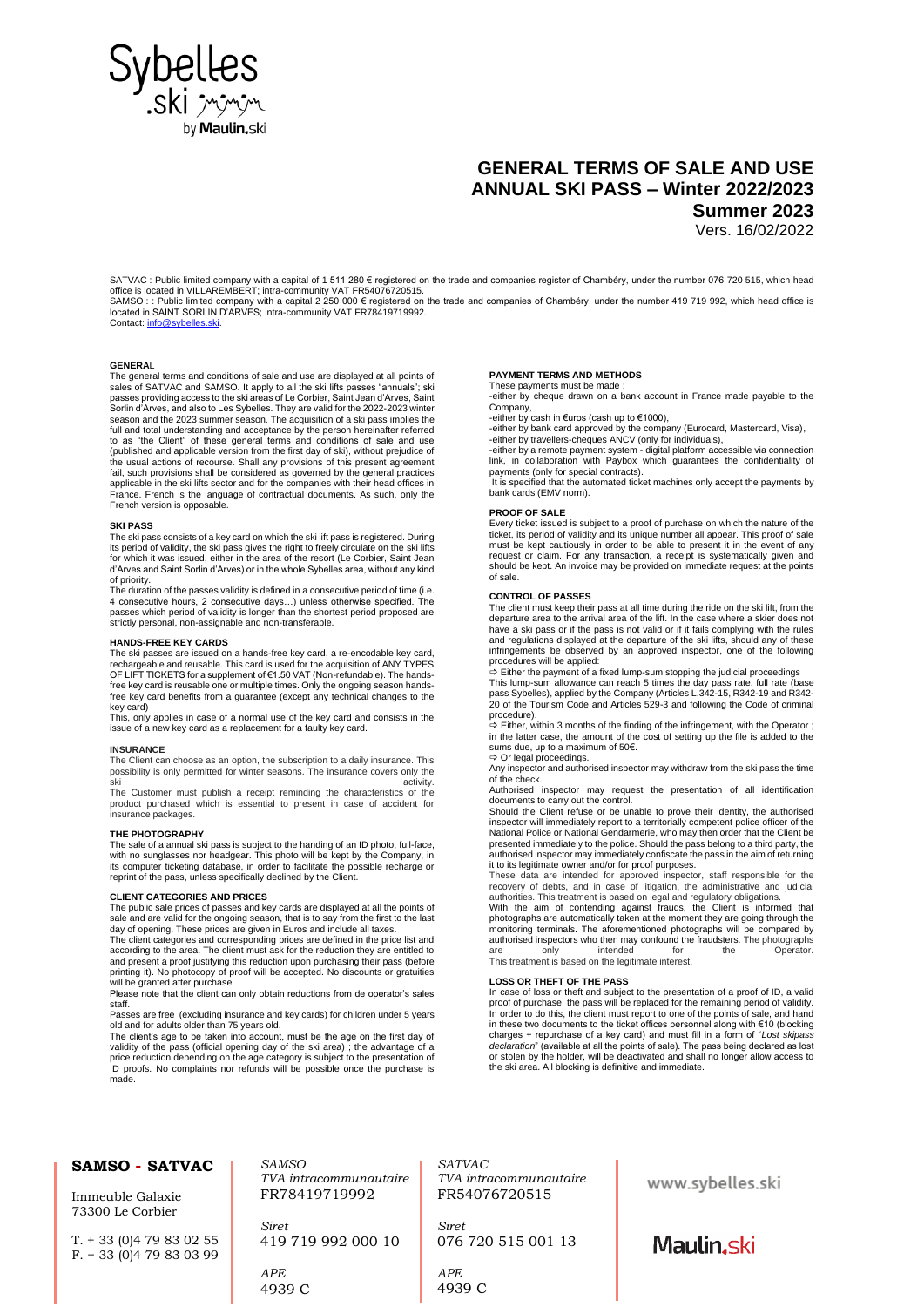

# **GENERAL TERMS OF SALE AND USE ANNUAL SKI PASS – Winter 2022/2023 Summer 2023** Vers. 16/02/2022

SATVAC : Public limited company with a capital of 1 511 280 € registered on the trade and companies register of Chambéry, under the number 076 720 515, which head

office is located in VILLAREMBERT; intra-community VAT FR54076720515.<br>SAMSO : : Public limited company with a capital 2 250 000 € registered on the trade and companies of Chambéry, under the number 419 719 992, which head located in SAINT SORLIN D'ARVES; intra-community VAT FR78419719992. Contact: info@s

# **GENERA**L

The general terms and conditions of sale and use are displayed at all points of sales of SATVAC and SAMSO. It apply to all the ski lifts passes "annuals"; ski passes providing access to the ski areas of Le Corbier, Saint Jean d'Arves, Saint<br>Sorlin d'Arves, and also to Les Sybelles. They are valid for the 2022-2023 winter<br>season and the 2023 summer season. The acquisition of a sk full and total understanding and acceptance by the person hereinafter referred<br>to as "the Client" of these general terms and conditions of sale and use<br>(published and applicable version from the first day of ski), without the usual actions of recourse. Shall any provisions of this present agreement<br>fail, such provisions shall be considered as governed by the general practices<br>applicable in the ski lifts sector and for the companies with the France. French is the language of contractual documents. As such, only the French version is opposable.

# **SKI PASS**

The ski pass consists of a key card on which the ski lift pass is registered. During its period of validity, the ski pass gives the right to freely circulate on the ski lifts for which it was issued, either in the area of the resort (Le Corbier, Saint Jean d'Arves and Saint Sorlin d'Arves) or in the whole Sybelles area, without any kind of priority.

The duration of the passes validity is defined in a consecutive period of time (i.e. 4 consecutive hours, 2 consecutive days…) unless otherwise specified. The passes which period of validity is longer than the shortest period proposed are strictly personal, non-assignable and non-transferable.

## **HANDS-FREE KEY CARDS**

The ski passes are issued on a hands-free key card, a re-encodable key card, rechargeable and reusable. This card is used for the acquisition of ANY TYPES OF LIFT TICKETS for a supplement of €1.50 VAT (Non-refundable). The handsfree key card is reusable one or multiple times. Only the ongoing season hands-free key card benefits from a guarantee (except any technical changes to the key card)

This, only applies in case of a normal use of the key card and consists in the issue of a new key card as a replacement for a faulty key card.

## **INSURANCE**

The Client can choose as an option, the subscription to a daily insurance. This possibility is only permitted for winter seasons. The insurance covers only the

ski activity. The Customer must publish a receipt reminding the characteristics of the product purchased which is essential to present in case of accident for insurance packages.

#### **THE PHOTOGRAPHY**

The sale of a annual ski pass is subject to the handing of an ID photo, full-face, with no sunglasses nor headgear. This photo will be kept by the Company, in its computer ticketing database, in order to facilitate the possible recharge or reprint of the pass, unless specifically declined by the Client.

# **CLIENT CATEGORIES AND PRICES**

The public sale prices of passes and key cards are displayed at all the points of sale and are valid for the ongoing season, that is to say from the first to the last day of opening. These prices are given in Euros and include all taxes.

The client categories and corresponding prices are defined in the price list and according to the area. The client must ask for the reduction they are entitled to and present a proof justifying this reduction upon purchasing their pass (before printing it). No photocopy of proof will be accepted. No discounts or gratuities will be granted after purchase

Please note that the client can only obtain reductions from de operator's sales staff.

Passes are free (excluding insurance and key cards) for children under 5 years old and for adults older than 75 years old.

The client's age to be taken into account, must be the age on the first day of validity of the pass (official opening day of the ski area) ; the advantage of a<br>price reduction depending on the age category is subject to the presentation of<br>ID proofs. No complaints nor refunds will be possible once th

*SAMSO*

*Siret*

*TVA intracommunautaire* FR78419719992

419 719 992 000 10

#### **PAYMENT TERMS AND METHODS** These payments must be made

-either by cheque drawn on a bank account in France made payable to the **Company** 

-either by cash in €uros (cash up to €1000),

-either by bank card approved by the company (Eurocard, Mastercard, Visa), -either by travellers-cheques ANCV (only for individuals),

-either by a remote payment system - digital platform accessible via connection link, in collaboration with Paybox which guarantees the confidentiality of payments (only for special contracts).

It is specified that the automated ticket machines only accept the payments by bank cards (EMV norm).

#### **PROOF OF SALE**

Every ticket issued is subject to a proof of purchase on which the nature of the ticket, its period of validity and its unique number all appear. This proof of sale must be kept cautiously in order to be able to present it in the event of any request or claim. For any transaction, a receipt is systematically given and should be kept. An invoice may be provided on immediate request at the points of sale.

# **CONTROL OF PASSES**

The client must keep their pass at all time during the ride on the ski lift, from the departure area to the arrival area of the lift. In the case where a skier does not have a ski pass or if the pass is not valid or if it fails complying with the rules and regulations displayed at the departure of the ski lifts, should any of these infringements be observed by an approved inspector, one of the following procedures will be applied:

Either the payment of a fixed lump-sum stopping the judicial proceedings

This lump-sum allowance can reach 5 times the day pass rate, full rate (base<br>pass Sybelles), applied by the Company (Articles L.342-15, R342-19 and R342-<br>20 of the Tourism Code and Articles 529-3 and following the Code of procedure).

 $\Rightarrow$  Either, within 3 months of the finding of the infringement, with the Operator ; in the latter case, the amount of the cost of setting up the file is added to the sums due, up to a maximum of 50€.

Or legal proceedings.

Any inspector and authorised inspector may withdraw from the ski pass the time of the check.

Authorised inspector may request the presentation of all identification

documents to carry out the control. Should the Client refuse or be unable to prove their identity, the authorised inspector will immediately report to a territorially competent police officer of the National Police or National Gendarmerie, who may then order that the Client be presented immediately to the police. Should the pass belong to a third party, the authorised inspector may immediately confiscate the pass in the aim of returning

it to its legitimate owner and/or for proof purposes. These data are intended for approved inspector, staff responsible for the

recovery of debts, and in case of litigation, the administrative and judicial<br>authorities. This treatment is based on legal and regulatory obligations.<br>With the aim of contending against frauds, the Client is informed that

authorised inspectors who then may confound the fraudsters. The photographs<br>are only intended for the Operator. only intended for the Operator. This treatment is based on the legitimate interest.

# **LOSS OR THEFT OF THE PASS**

In case of loss or theft and subject to the presentation of a proof of ID, a valid proof of purchase, the pass will be replaced for the remaining period of validity. In order to do this, the client must report to one of the points of sale, and hand in these two documents to the ticket offices personnel along with €10 (blocking charges + repurchase of a key card) and must fill in a form of "*Lost skipass declaration*" (available at all the points of sale). The pass being declared as lost or stolen by the holder, will be deactivated and shall no longer allow access to the ski area. All blocking is definitive and immediate.

# **SAMSO - SATVAC**

Immeuble Galaxie 73300 Le Corbier

T. + 33 (0)4 79 83 02 55  $F. + 33(0)479830399$ 

> *APE* 4939 C

*SATVAC TVA intracommunautaire* FR54076720515

*Siret* 076 720 515 001 13

*APE* 4939 C www.sybelles.ski

Maulin, ski